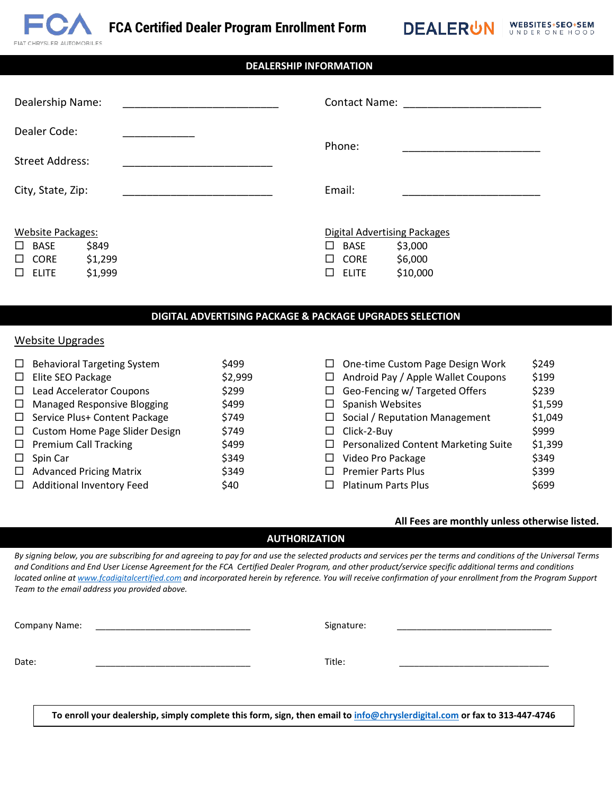

WEBSITES+SEO+SEM **DEALERUN** UNDER ONE HOOD

# Dealership Name: Dealer Code: Street Address: City, State, Zip: Contact Name: Phone: Email: \_\_\_\_\_\_\_\_\_\_\_\_\_\_\_\_\_\_\_\_\_\_\_ Website Packages:  $\Box$  BASE \$849  $\square$  CORE \$1,299 Digital Advertising Packages  $\Box$  BASE \$3,000  $\square$  CORE \$6,000 **DEALERSHIP INFORMATION**

### **DIGITAL ADVERTISING PACKAGE & PACKAGE UPGRADES SELECTION**

 $\square$  ELITE \$10,000

#### Website Upgrades

 $\square$  ELITE  $\lessgtr 1,999$ 

| $\Box$ | <b>Behavioral Targeting System</b>    | \$499   |        | $\Box$ One-time Custom Page Design Work     | \$249   |
|--------|---------------------------------------|---------|--------|---------------------------------------------|---------|
| $\Box$ | Elite SEO Package                     | \$2,999 | $\Box$ | Android Pay / Apple Wallet Coupons          | \$199   |
| $\Box$ | Lead Accelerator Coupons              | \$299   |        | $\Box$ Geo-Fencing w/ Targeted Offers       | \$239   |
| $\Box$ | <b>Managed Responsive Blogging</b>    | \$499   |        | $\Box$ Spanish Websites                     | \$1,599 |
| $\Box$ | Service Plus+ Content Package         | \$749   |        | $\Box$ Social / Reputation Management       | \$1,049 |
|        | $\Box$ Custom Home Page Slider Design | \$749   |        | $\Box$ Click-2-Buy                          | \$999   |
|        | $\Box$ Premium Call Tracking          | \$499   |        | $\Box$ Personalized Content Marketing Suite | \$1,399 |
| $\Box$ | Spin Car                              | \$349   | □      | Video Pro Package                           | \$349   |
| $\Box$ | <b>Advanced Pricing Matrix</b>        | \$349   | П      | <b>Premier Parts Plus</b>                   | \$399   |
| $\Box$ | <b>Additional Inventory Feed</b>      | \$40    | $\Box$ | <b>Platinum Parts Plus</b>                  | \$699   |

#### **All Fees are monthly unless otherwise listed.**

### **AUTHORIZATION**

*By signing below, you are subscribing for and agreeing to pay for and use the selected products and services per the terms and conditions of the Universal Terms and Conditions and End User License Agreement for the FCA Certified Dealer Program, and other product/service specific additional terms and conditions located online a[t www.fcadigitalcertified.com](http://www.fcadigitalcertified.com/) and incorporated herein by reference. You will receive confirmation of your enrollment from the Program Support Team to the email address you provided above.*

| Company Name: |  |
|---------------|--|
|               |  |

Date: \_\_\_\_\_\_\_\_\_\_\_\_\_\_\_\_\_\_\_\_\_\_\_\_\_\_\_\_\_\_\_

Title: \_\_\_\_\_\_\_\_\_\_\_\_\_\_\_\_\_\_\_\_\_\_\_\_\_\_\_\_\_\_

**To enroll your dealership, simply complete this form, sign, then email t[o info@chryslerdigital.com](mailto:info@chryslerdigital.com) or fax to 313-447-4746**

Signature: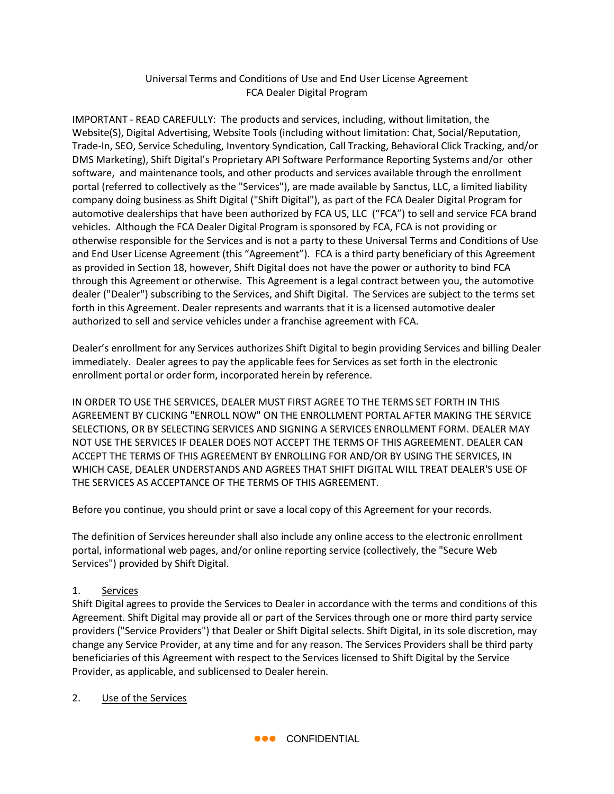## Universal Terms and Conditions of Use and End User License Agreement FCA Dealer Digital Program

IMPORTANT - READ CAREFULLY: The products and services, including, without limitation, the Website(S), Digital Advertising, Website Tools (including without limitation: Chat, Social/Reputation, Trade-In, SEO, Service Scheduling, Inventory Syndication, Call Tracking, Behavioral Click Tracking, and/or DMS Marketing), Shift Digital's Proprietary API Software Performance Reporting Systems and/or other software, and maintenance tools, and other products and services available through the enrollment portal (referred to collectively as the "Services"), are made available by Sanctus, LLC, a limited liability company doing business as Shift Digital ("Shift Digital"), as part of the FCA Dealer Digital Program for automotive dealerships that have been authorized by FCA US, LLC ("FCA") to sell and service FCA brand vehicles. Although the FCA Dealer Digital Program is sponsored by FCA, FCA is not providing or otherwise responsible for the Services and is not a party to these Universal Terms and Conditions of Use and End User License Agreement (this "Agreement"). FCA is a third party beneficiary of this Agreement as provided in Section 18, however, Shift Digital does not have the power or authority to bind FCA through this Agreement or otherwise. This Agreement is a legal contract between you, the automotive dealer ("Dealer") subscribing to the Services, and Shift Digital. The Services are subject to the terms set forth in this Agreement. Dealer represents and warrants that it is a licensed automotive dealer authorized to sell and service vehicles under a franchise agreement with FCA.

Dealer's enrollment for any Services authorizes Shift Digital to begin providing Services and billing Dealer immediately. Dealer agrees to pay the applicable fees for Services as set forth in the electronic enrollment portal or order form, incorporated herein by reference.

IN ORDER TO USE THE SERVICES, DEALER MUST FIRST AGREE TO THE TERMS SET FORTH IN THIS AGREEMENT BY CLICKING "ENROLL NOW" ON THE ENROLLMENT PORTAL AFTER MAKING THE SERVICE SELECTIONS, OR BY SELECTING SERVICES AND SIGNING A SERVICES ENROLLMENT FORM. DEALER MAY NOT USE THE SERVICES IF DEALER DOES NOT ACCEPT THE TERMS OF THIS AGREEMENT. DEALER CAN ACCEPT THE TERMS OF THIS AGREEMENT BY ENROLLING FOR AND/OR BY USING THE SERVICES, IN WHICH CASE, DEALER UNDERSTANDS AND AGREES THAT SHIFT DIGITAL WILL TREAT DEALER'S USE OF THE SERVICES AS ACCEPTANCE OF THE TERMS OF THIS AGREEMENT.

Before you continue, you should print or save a local copy of this Agreement for your records.

The definition of Services hereunder shall also include any online access to the electronic enrollment portal, informational web pages, and/or online reporting service (collectively, the "Secure Web Services") provided by Shift Digital.

## 1. Services

Shift Digital agrees to provide the Services to Dealer in accordance with the terms and conditions of this Agreement. Shift Digital may provide all or part of the Services through one or more third party service providers ("Service Providers") that Dealer or Shift Digital selects. Shift Digital, in its sole discretion, may change any Service Provider, at any time and for any reason. The Services Providers shall be third party beneficiaries of this Agreement with respect to the Services licensed to Shift Digital by the Service Provider, as applicable, and sublicensed to Dealer herein.

2. Use of the Services

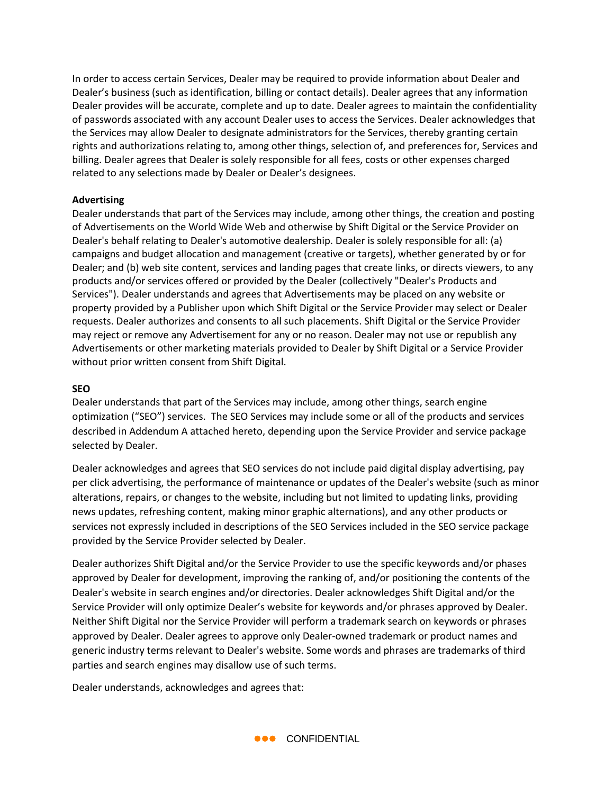In order to access certain Services, Dealer may be required to provide information about Dealer and Dealer's business (such as identification, billing or contact details). Dealer agrees that any information Dealer provides will be accurate, complete and up to date. Dealer agrees to maintain the confidentiality of passwords associated with any account Dealer uses to access the Services. Dealer acknowledges that the Services may allow Dealer to designate administrators for the Services, thereby granting certain rights and authorizations relating to, among other things, selection of, and preferences for, Services and billing. Dealer agrees that Dealer is solely responsible for all fees, costs or other expenses charged related to any selections made by Dealer or Dealer's designees.

#### **Advertising**

Dealer understands that part of the Services may include, among other things, the creation and posting of Advertisements on the World Wide Web and otherwise by Shift Digital or the Service Provider on Dealer's behalf relating to Dealer's automotive dealership. Dealer is solely responsible for all: (a) campaigns and budget allocation and management (creative or targets), whether generated by or for Dealer; and (b) web site content, services and landing pages that create links, or directs viewers, to any products and/or services offered or provided by the Dealer (collectively "Dealer's Products and Services"). Dealer understands and agrees that Advertisements may be placed on any website or property provided by a Publisher upon which Shift Digital or the Service Provider may select or Dealer requests. Dealer authorizes and consents to all such placements. Shift Digital or the Service Provider may reject or remove any Advertisement for any or no reason. Dealer may not use or republish any Advertisements or other marketing materials provided to Dealer by Shift Digital or a Service Provider without prior written consent from Shift Digital.

### **SEO**

Dealer understands that part of the Services may include, among other things, search engine optimization ("SEO") services. The SEO Services may include some or all of the products and services described in Addendum A attached hereto, depending upon the Service Provider and service package selected by Dealer.

Dealer acknowledges and agrees that SEO services do not include paid digital display advertising, pay per click advertising, the performance of maintenance or updates of the Dealer's website (such as minor alterations, repairs, or changes to the website, including but not limited to updating links, providing news updates, refreshing content, making minor graphic alternations), and any other products or services not expressly included in descriptions of the SEO Services included in the SEO service package provided by the Service Provider selected by Dealer.

Dealer authorizes Shift Digital and/or the Service Provider to use the specific keywords and/or phases approved by Dealer for development, improving the ranking of, and/or positioning the contents of the Dealer's website in search engines and/or directories. Dealer acknowledges Shift Digital and/or the Service Provider will only optimize Dealer's website for keywords and/or phrases approved by Dealer. Neither Shift Digital nor the Service Provider will perform a trademark search on keywords or phrases approved by Dealer. Dealer agrees to approve only Dealer-owned trademark or product names and generic industry terms relevant to Dealer's website. Some words and phrases are trademarks of third parties and search engines may disallow use of such terms.

Dealer understands, acknowledges and agrees that:

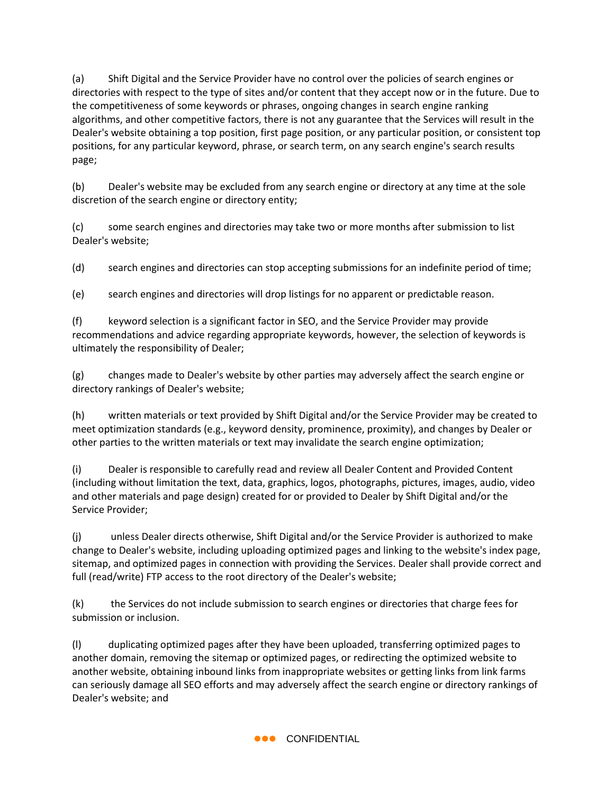(a) Shift Digital and the Service Provider have no control over the policies of search engines or directories with respect to the type of sites and/or content that they accept now or in the future. Due to the competitiveness of some keywords or phrases, ongoing changes in search engine ranking algorithms, and other competitive factors, there is not any guarantee that the Services will result in the Dealer's website obtaining a top position, first page position, or any particular position, or consistent top positions, for any particular keyword, phrase, or search term, on any search engine's search results page;

(b) Dealer's website may be excluded from any search engine or directory at any time at the sole discretion of the search engine or directory entity;

(c) some search engines and directories may take two or more months after submission to list Dealer's website;

(d) search engines and directories can stop accepting submissions for an indefinite period of time;

(e) search engines and directories will drop listings for no apparent or predictable reason.

(f) keyword selection is a significant factor in SEO, and the Service Provider may provide recommendations and advice regarding appropriate keywords, however, the selection of keywords is ultimately the responsibility of Dealer;

(g) changes made to Dealer's website by other parties may adversely affect the search engine or directory rankings of Dealer's website;

(h) written materials or text provided by Shift Digital and/or the Service Provider may be created to meet optimization standards (e.g., keyword density, prominence, proximity), and changes by Dealer or other parties to the written materials or text may invalidate the search engine optimization;

(i) Dealer is responsible to carefully read and review all Dealer Content and Provided Content (including without limitation the text, data, graphics, logos, photographs, pictures, images, audio, video and other materials and page design) created for or provided to Dealer by Shift Digital and/or the Service Provider;

(j) unless Dealer directs otherwise, Shift Digital and/or the Service Provider is authorized to make change to Dealer's website, including uploading optimized pages and linking to the website's index page, sitemap, and optimized pages in connection with providing the Services. Dealer shall provide correct and full (read/write) FTP access to the root directory of the Dealer's website;

(k) the Services do not include submission to search engines or directories that charge fees for submission or inclusion.

(l) duplicating optimized pages after they have been uploaded, transferring optimized pages to another domain, removing the sitemap or optimized pages, or redirecting the optimized website to another website, obtaining inbound links from inappropriate websites or getting links from link farms can seriously damage all SEO efforts and may adversely affect the search engine or directory rankings of Dealer's website; and

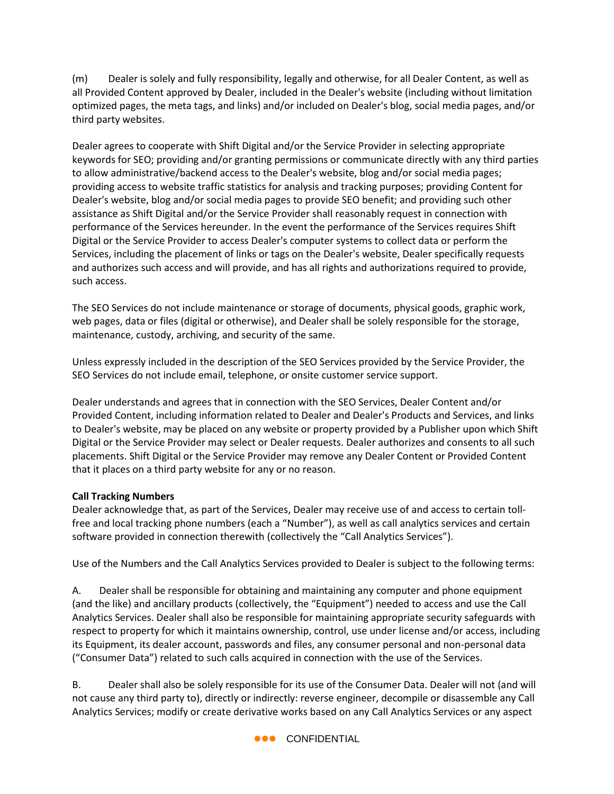(m) Dealer is solely and fully responsibility, legally and otherwise, for all Dealer Content, as well as all Provided Content approved by Dealer, included in the Dealer's website (including without limitation optimized pages, the meta tags, and links) and/or included on Dealer's blog, social media pages, and/or third party websites.

Dealer agrees to cooperate with Shift Digital and/or the Service Provider in selecting appropriate keywords for SEO; providing and/or granting permissions or communicate directly with any third parties to allow administrative/backend access to the Dealer's website, blog and/or social media pages; providing access to website traffic statistics for analysis and tracking purposes; providing Content for Dealer's website, blog and/or social media pages to provide SEO benefit; and providing such other assistance as Shift Digital and/or the Service Provider shall reasonably request in connection with performance of the Services hereunder. In the event the performance of the Services requires Shift Digital or the Service Provider to access Dealer's computer systems to collect data or perform the Services, including the placement of links or tags on the Dealer's website, Dealer specifically requests and authorizes such access and will provide, and has all rights and authorizations required to provide, such access.

The SEO Services do not include maintenance or storage of documents, physical goods, graphic work, web pages, data or files (digital or otherwise), and Dealer shall be solely responsible for the storage, maintenance, custody, archiving, and security of the same.

Unless expressly included in the description of the SEO Services provided by the Service Provider, the SEO Services do not include email, telephone, or onsite customer service support.

Dealer understands and agrees that in connection with the SEO Services, Dealer Content and/or Provided Content, including information related to Dealer and Dealer's Products and Services, and links to Dealer's website, may be placed on any website or property provided by a Publisher upon which Shift Digital or the Service Provider may select or Dealer requests. Dealer authorizes and consents to all such placements. Shift Digital or the Service Provider may remove any Dealer Content or Provided Content that it places on a third party website for any or no reason.

### **Call Tracking Numbers**

Dealer acknowledge that, as part of the Services, Dealer may receive use of and access to certain tollfree and local tracking phone numbers (each a "Number"), as well as call analytics services and certain software provided in connection therewith (collectively the "Call Analytics Services").

Use of the Numbers and the Call Analytics Services provided to Dealer is subject to the following terms:

A. Dealer shall be responsible for obtaining and maintaining any computer and phone equipment (and the like) and ancillary products (collectively, the "Equipment") needed to access and use the Call Analytics Services. Dealer shall also be responsible for maintaining appropriate security safeguards with respect to property for which it maintains ownership, control, use under license and/or access, including its Equipment, its dealer account, passwords and files, any consumer personal and non-personal data ("Consumer Data") related to such calls acquired in connection with the use of the Services.

B. Dealer shall also be solely responsible for its use of the Consumer Data. Dealer will not (and will not cause any third party to), directly or indirectly: reverse engineer, decompile or disassemble any Call Analytics Services; modify or create derivative works based on any Call Analytics Services or any aspect

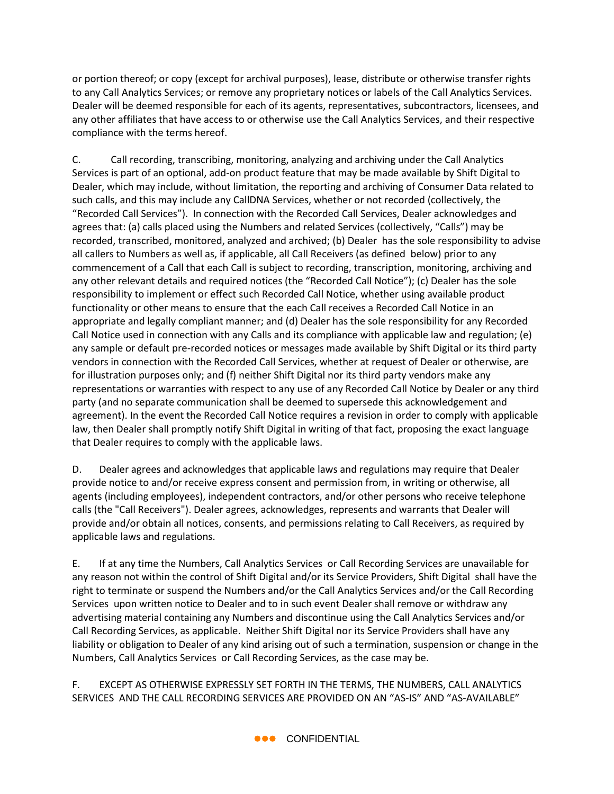or portion thereof; or copy (except for archival purposes), lease, distribute or otherwise transfer rights to any Call Analytics Services; or remove any proprietary notices or labels of the Call Analytics Services. Dealer will be deemed responsible for each of its agents, representatives, subcontractors, licensees, and any other affiliates that have access to or otherwise use the Call Analytics Services, and their respective compliance with the terms hereof.

C. Call recording, transcribing, monitoring, analyzing and archiving under the Call Analytics Services is part of an optional, add-on product feature that may be made available by Shift Digital to Dealer, which may include, without limitation, the reporting and archiving of Consumer Data related to such calls, and this may include any CallDNA Services, whether or not recorded (collectively, the "Recorded Call Services"). In connection with the Recorded Call Services, Dealer acknowledges and agrees that: (a) calls placed using the Numbers and related Services (collectively, "Calls") may be recorded, transcribed, monitored, analyzed and archived; (b) Dealer has the sole responsibility to advise all callers to Numbers as well as, if applicable, all Call Receivers (as defined below) prior to any commencement of a Call that each Call is subject to recording, transcription, monitoring, archiving and any other relevant details and required notices (the "Recorded Call Notice"); (c) Dealer has the sole responsibility to implement or effect such Recorded Call Notice, whether using available product functionality or other means to ensure that the each Call receives a Recorded Call Notice in an appropriate and legally compliant manner; and (d) Dealer has the sole responsibility for any Recorded Call Notice used in connection with any Calls and its compliance with applicable law and regulation; (e) any sample or default pre-recorded notices or messages made available by Shift Digital or its third party vendors in connection with the Recorded Call Services, whether at request of Dealer or otherwise, are for illustration purposes only; and (f) neither Shift Digital nor its third party vendors make any representations or warranties with respect to any use of any Recorded Call Notice by Dealer or any third party (and no separate communication shall be deemed to supersede this acknowledgement and agreement). In the event the Recorded Call Notice requires a revision in order to comply with applicable law, then Dealer shall promptly notify Shift Digital in writing of that fact, proposing the exact language that Dealer requires to comply with the applicable laws.

D. Dealer agrees and acknowledges that applicable laws and regulations may require that Dealer provide notice to and/or receive express consent and permission from, in writing or otherwise, all agents (including employees), independent contractors, and/or other persons who receive telephone calls (the "Call Receivers"). Dealer agrees, acknowledges, represents and warrants that Dealer will provide and/or obtain all notices, consents, and permissions relating to Call Receivers, as required by applicable laws and regulations.

E. If at any time the Numbers, Call Analytics Services or Call Recording Services are unavailable for any reason not within the control of Shift Digital and/or its Service Providers, Shift Digital shall have the right to terminate or suspend the Numbers and/or the Call Analytics Services and/or the Call Recording Services upon written notice to Dealer and to in such event Dealer shall remove or withdraw any advertising material containing any Numbers and discontinue using the Call Analytics Services and/or Call Recording Services, as applicable. Neither Shift Digital nor its Service Providers shall have any liability or obligation to Dealer of any kind arising out of such a termination, suspension or change in the Numbers, Call Analytics Services or Call Recording Services, as the case may be.

F. EXCEPT AS OTHERWISE EXPRESSLY SET FORTH IN THE TERMS, THE NUMBERS, CALL ANALYTICS SERVICES AND THE CALL RECORDING SERVICES ARE PROVIDED ON AN "AS-IS" AND "AS-AVAILABLE"

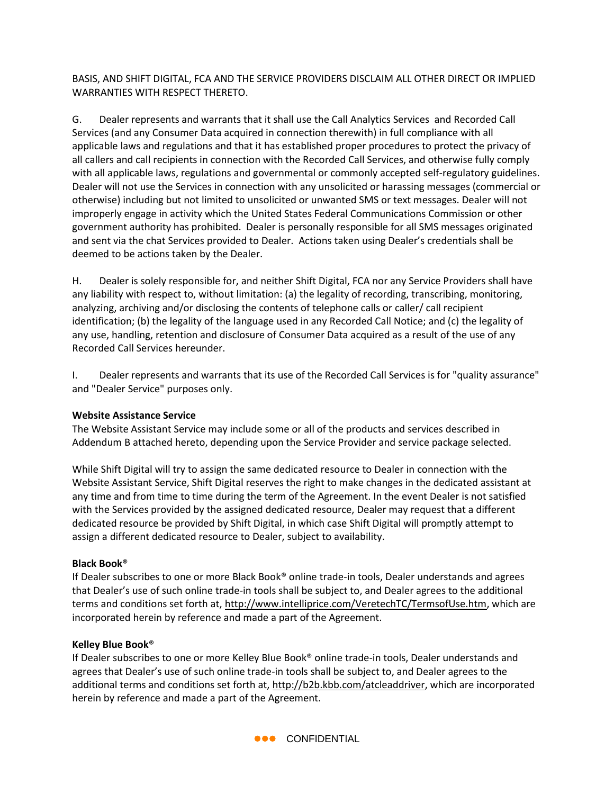BASIS, AND SHIFT DIGITAL, FCA AND THE SERVICE PROVIDERS DISCLAIM ALL OTHER DIRECT OR IMPLIED WARRANTIES WITH RESPECT THERETO.

G. Dealer represents and warrants that it shall use the Call Analytics Services and Recorded Call Services (and any Consumer Data acquired in connection therewith) in full compliance with all applicable laws and regulations and that it has established proper procedures to protect the privacy of all callers and call recipients in connection with the Recorded Call Services, and otherwise fully comply with all applicable laws, regulations and governmental or commonly accepted self-regulatory guidelines. Dealer will not use the Services in connection with any unsolicited or harassing messages (commercial or otherwise) including but not limited to unsolicited or unwanted SMS or text messages. Dealer will not improperly engage in activity which the United States Federal Communications Commission or other government authority has prohibited. Dealer is personally responsible for all SMS messages originated and sent via the chat Services provided to Dealer. Actions taken using Dealer's credentials shall be deemed to be actions taken by the Dealer.

H. Dealer is solely responsible for, and neither Shift Digital, FCA nor any Service Providers shall have any liability with respect to, without limitation: (a) the legality of recording, transcribing, monitoring, analyzing, archiving and/or disclosing the contents of telephone calls or caller/ call recipient identification; (b) the legality of the language used in any Recorded Call Notice; and (c) the legality of any use, handling, retention and disclosure of Consumer Data acquired as a result of the use of any Recorded Call Services hereunder.

I. Dealer represents and warrants that its use of the Recorded Call Services is for "quality assurance" and "Dealer Service" purposes only.

### **Website Assistance Service**

The Website Assistant Service may include some or all of the products and services described in Addendum B attached hereto, depending upon the Service Provider and service package selected.

While Shift Digital will try to assign the same dedicated resource to Dealer in connection with the Website Assistant Service, Shift Digital reserves the right to make changes in the dedicated assistant at any time and from time to time during the term of the Agreement. In the event Dealer is not satisfied with the Services provided by the assigned dedicated resource, Dealer may request that a different dedicated resource be provided by Shift Digital, in which case Shift Digital will promptly attempt to assign a different dedicated resource to Dealer, subject to availability.

### **Black Book**®

If Dealer subscribes to one or more Black Book® online trade-in tools, Dealer understands and agrees that Dealer's use of such online trade-in tools shall be subject to, and Dealer agrees to the additional terms and conditions set forth at, [http://www.intelliprice.com/VeretechTC/TermsofUse.htm,](http://www.intelliprice.com/VeretechTC/TermsofUse.htm) which are incorporated herein by reference and made a part of the Agreement.

#### **Kelley Blue Book**®

If Dealer subscribes to one or more Kelley Blue Book® online trade-in tools, Dealer understands and agrees that Dealer's use of such online trade-in tools shall be subject to, and Dealer agrees to the additional terms and conditions set forth at[, http://b2b.kbb.com/atcleaddriver,](http://b2b.kbb.com/atcleaddriver) which are incorporated herein by reference and made a part of the Agreement.

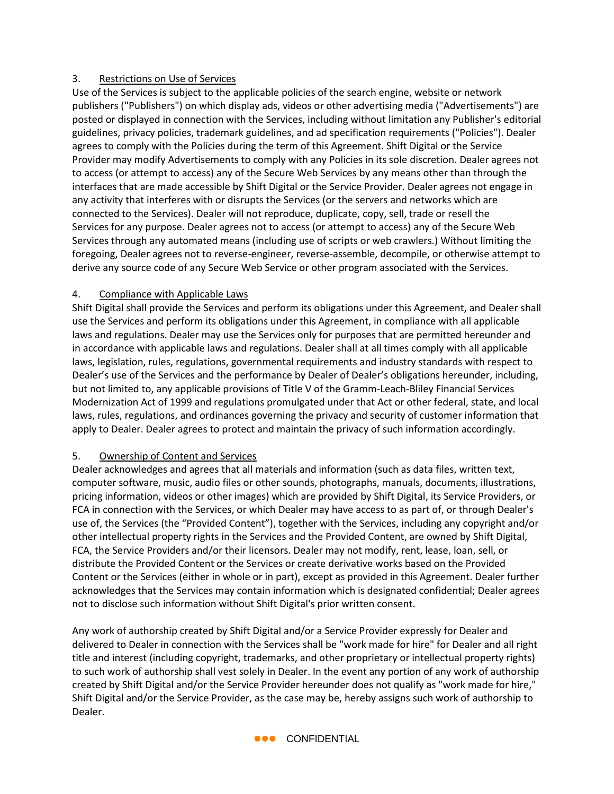### 3. Restrictions on Use of Services

Use of the Services is subject to the applicable policies of the search engine, website or network publishers ("Publishers") on which display ads, videos or other advertising media ("Advertisements") are posted or displayed in connection with the Services, including without limitation any Publisher's editorial guidelines, privacy policies, trademark guidelines, and ad specification requirements ("Policies"). Dealer agrees to comply with the Policies during the term of this Agreement. Shift Digital or the Service Provider may modify Advertisements to comply with any Policies in its sole discretion. Dealer agrees not to access (or attempt to access) any of the Secure Web Services by any means other than through the interfaces that are made accessible by Shift Digital or the Service Provider. Dealer agrees not engage in any activity that interferes with or disrupts the Services (or the servers and networks which are connected to the Services). Dealer will not reproduce, duplicate, copy, sell, trade or resell the Services for any purpose. Dealer agrees not to access (or attempt to access) any of the Secure Web Services through any automated means (including use of scripts or web crawlers.) Without limiting the foregoing, Dealer agrees not to reverse-engineer, reverse-assemble, decompile, or otherwise attempt to derive any source code of any Secure Web Service or other program associated with the Services.

### 4. Compliance with Applicable Laws

Shift Digital shall provide the Services and perform its obligations under this Agreement, and Dealer shall use the Services and perform its obligations under this Agreement, in compliance with all applicable laws and regulations. Dealer may use the Services only for purposes that are permitted hereunder and in accordance with applicable laws and regulations. Dealer shall at all times comply with all applicable laws, legislation, rules, regulations, governmental requirements and industry standards with respect to Dealer's use of the Services and the performance by Dealer of Dealer's obligations hereunder, including, but not limited to, any applicable provisions of Title V of the Gramm-Leach-Bliley Financial Services Modernization Act of 1999 and regulations promulgated under that Act or other federal, state, and local laws, rules, regulations, and ordinances governing the privacy and security of customer information that apply to Dealer. Dealer agrees to protect and maintain the privacy of such information accordingly.

### 5. Ownership of Content and Services

Dealer acknowledges and agrees that all materials and information (such as data files, written text, computer software, music, audio files or other sounds, photographs, manuals, documents, illustrations, pricing information, videos or other images) which are provided by Shift Digital, its Service Providers, or FCA in connection with the Services, or which Dealer may have access to as part of, or through Dealer's use of, the Services (the "Provided Content"), together with the Services, including any copyright and/or other intellectual property rights in the Services and the Provided Content, are owned by Shift Digital, FCA, the Service Providers and/or their licensors. Dealer may not modify, rent, lease, loan, sell, or distribute the Provided Content or the Services or create derivative works based on the Provided Content or the Services (either in whole or in part), except as provided in this Agreement. Dealer further acknowledges that the Services may contain information which is designated confidential; Dealer agrees not to disclose such information without Shift Digital's prior written consent.

Any work of authorship created by Shift Digital and/or a Service Provider expressly for Dealer and delivered to Dealer in connection with the Services shall be "work made for hire" for Dealer and all right title and interest (including copyright, trademarks, and other proprietary or intellectual property rights) to such work of authorship shall vest solely in Dealer. In the event any portion of any work of authorship created by Shift Digital and/or the Service Provider hereunder does not qualify as "work made for hire," Shift Digital and/or the Service Provider, as the case may be, hereby assigns such work of authorship to Dealer.

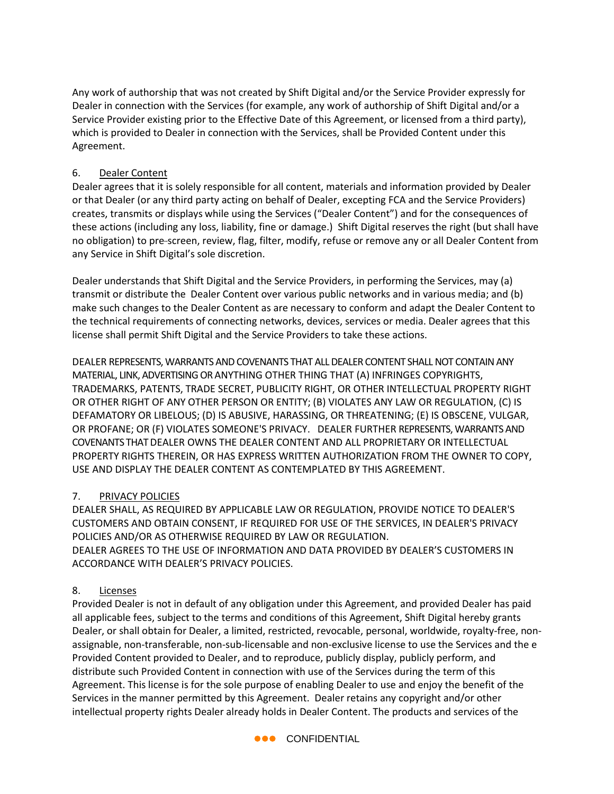Any work of authorship that was not created by Shift Digital and/or the Service Provider expressly for Dealer in connection with the Services (for example, any work of authorship of Shift Digital and/or a Service Provider existing prior to the Effective Date of this Agreement, or licensed from a third party), which is provided to Dealer in connection with the Services, shall be Provided Content under this Agreement.

### 6. Dealer Content

Dealer agrees that it is solely responsible for all content, materials and information provided by Dealer or that Dealer (or any third party acting on behalf of Dealer, excepting FCA and the Service Providers) creates, transmits or displays while using the Services ("Dealer Content") and for the consequences of these actions (including any loss, liability, fine or damage.) Shift Digital reserves the right (but shall have no obligation) to pre-screen, review, flag, filter, modify, refuse or remove any or all Dealer Content from any Service in Shift Digital's sole discretion.

Dealer understands that Shift Digital and the Service Providers, in performing the Services, may (a) transmit or distribute the Dealer Content over various public networks and in various media; and (b) make such changes to the Dealer Content as are necessary to conform and adapt the Dealer Content to the technical requirements of connecting networks, devices, services or media. Dealer agrees that this license shall permit Shift Digital and the Service Providers to take these actions.

DEALER REPRESENTS, WARRANTS AND COVENANTS THAT ALL DEALER CONTENT SHALL NOT CONTAIN ANY MATERIAL, LINK, ADVERTISING OR ANYTHING OTHER THING THAT (A) INFRINGES COPYRIGHTS, TRADEMARKS, PATENTS, TRADE SECRET, PUBLICITY RIGHT, OR OTHER INTELLECTUAL PROPERTY RIGHT OR OTHER RIGHT OF ANY OTHER PERSON OR ENTITY; (B) VIOLATES ANY LAW OR REGULATION, (C) IS DEFAMATORY OR LIBELOUS; (D) IS ABUSIVE, HARASSING, OR THREATENING; (E) IS OBSCENE, VULGAR, OR PROFANE; OR (F) VIOLATES SOMEONE'S PRIVACY. DEALER FURTHER REPRESENTS, WARRANTS AND COVENANTS THAT DEALER OWNS THE DEALER CONTENT AND ALL PROPRIETARY OR INTELLECTUAL PROPERTY RIGHTS THEREIN, OR HAS EXPRESS WRITTEN AUTHORIZATION FROM THE OWNER TO COPY, USE AND DISPLAY THE DEALER CONTENT AS CONTEMPLATED BY THIS AGREEMENT.

## 7. PRIVACY POLICIES

DEALER SHALL, AS REQUIRED BY APPLICABLE LAW OR REGULATION, PROVIDE NOTICE TO DEALER'S CUSTOMERS AND OBTAIN CONSENT, IF REQUIRED FOR USE OF THE SERVICES, IN DEALER'S PRIVACY POLICIES AND/OR AS OTHERWISE REQUIRED BY LAW OR REGULATION. DEALER AGREES TO THE USE OF INFORMATION AND DATA PROVIDED BY DEALER'S CUSTOMERS IN ACCORDANCE WITH DEALER'S PRIVACY POLICIES.

### 8. Licenses

Provided Dealer is not in default of any obligation under this Agreement, and provided Dealer has paid all applicable fees, subject to the terms and conditions of this Agreement, Shift Digital hereby grants Dealer, or shall obtain for Dealer, a limited, restricted, revocable, personal, worldwide, royalty-free, nonassignable, non-transferable, non-sub-licensable and non-exclusive license to use the Services and the e Provided Content provided to Dealer, and to reproduce, publicly display, publicly perform, and distribute such Provided Content in connection with use of the Services during the term of this Agreement. This license is for the sole purpose of enabling Dealer to use and enjoy the benefit of the Services in the manner permitted by this Agreement. Dealer retains any copyright and/or other intellectual property rights Dealer already holds in Dealer Content. The products and services of the

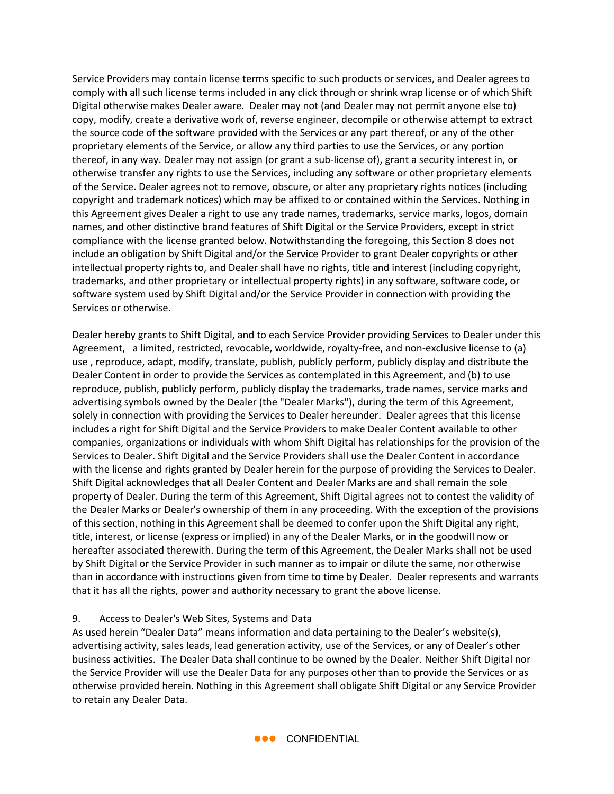Service Providers may contain license terms specific to such products or services, and Dealer agrees to comply with all such license terms included in any click through or shrink wrap license or of which Shift Digital otherwise makes Dealer aware. Dealer may not (and Dealer may not permit anyone else to) copy, modify, create a derivative work of, reverse engineer, decompile or otherwise attempt to extract the source code of the software provided with the Services or any part thereof, or any of the other proprietary elements of the Service, or allow any third parties to use the Services, or any portion thereof, in any way. Dealer may not assign (or grant a sublicense of), grant a security interest in, or otherwise transfer any rights to use the Services, including any software or other proprietary elements of the Service. Dealer agrees not to remove, obscure, or alter any proprietary rights notices (including copyright and trademark notices) which may be affixed to or contained within the Services. Nothing in this Agreement gives Dealer a right to use any trade names, trademarks, service marks, logos, domain names, and other distinctive brand features of Shift Digital or the Service Providers, except in strict compliance with the license granted below. Notwithstanding the foregoing, this Section 8 does not include an obligation by Shift Digital and/or the Service Provider to grant Dealer copyrights or other intellectual property rights to, and Dealer shall have no rights, title and interest (including copyright, trademarks, and other proprietary or intellectual property rights) in any software, software code, or software system used by Shift Digital and/or the Service Provider in connection with providing the Services or otherwise.

Dealer hereby grants to Shift Digital, and to each Service Provider providing Services to Dealer under this Agreement, a limited, restricted, revocable, worldwide, royalty-free, and non-exclusive license to (a) use , reproduce, adapt, modify, translate, publish, publicly perform, publicly display and distribute the Dealer Content in order to provide the Services as contemplated in this Agreement, and (b) to use reproduce, publish, publicly perform, publicly display the trademarks, trade names, service marks and advertising symbols owned by the Dealer (the "Dealer Marks"), during the term of this Agreement, solely in connection with providing the Services to Dealer hereunder. Dealer agrees that this license includes a right for Shift Digital and the Service Providers to make Dealer Content available to other companies, organizations or individuals with whom Shift Digital has relationships for the provision of the Services to Dealer. Shift Digital and the Service Providers shall use the Dealer Content in accordance with the license and rights granted by Dealer herein for the purpose of providing the Services to Dealer. Shift Digital acknowledges that all Dealer Content and Dealer Marks are and shall remain the sole property of Dealer. During the term of this Agreement, Shift Digital agrees not to contest the validity of the Dealer Marks or Dealer's ownership of them in any proceeding. With the exception of the provisions of this section, nothing in this Agreement shall be deemed to confer upon the Shift Digital any right, title, interest, or license (express or implied) in any of the Dealer Marks, or in the goodwill now or hereafter associated therewith. During the term of this Agreement, the Dealer Marks shall not be used by Shift Digital or the Service Provider in such manner as to impair or dilute the same, nor otherwise than in accordance with instructions given from time to time by Dealer. Dealer represents and warrants that it has all the rights, power and authority necessary to grant the above license.

### 9. Access to Dealer's Web Sites, Systems and Data

As used herein "Dealer Data" means information and data pertaining to the Dealer's website(s), advertising activity, sales leads, lead generation activity, use of the Services, or any of Dealer's other business activities. The Dealer Data shall continue to be owned by the Dealer. Neither Shift Digital nor the Service Provider will use the Dealer Data for any purposes other than to provide the Services or as otherwise provided herein. Nothing in this Agreement shall obligate Shift Digital or any Service Provider to retain any Dealer Data.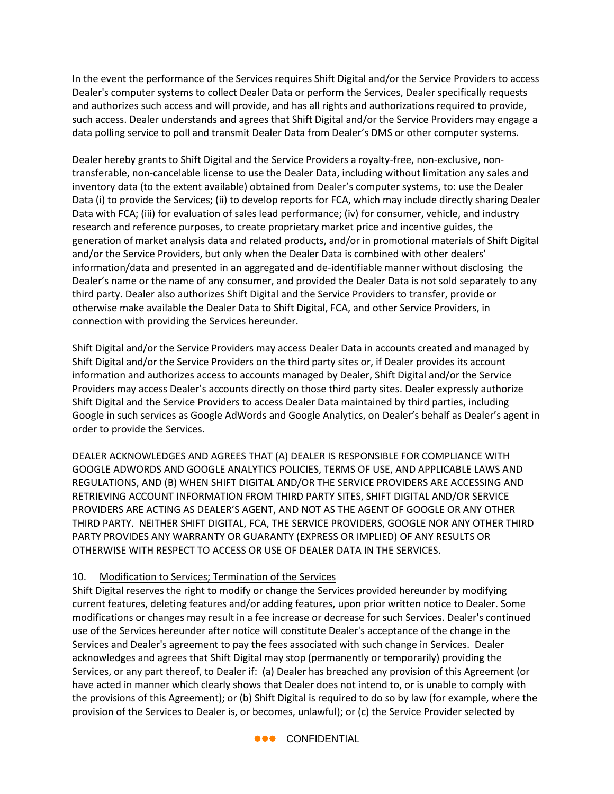In the event the performance of the Services requires Shift Digital and/or the Service Providers to access Dealer's computer systems to collect Dealer Data or perform the Services, Dealer specifically requests and authorizes such access and will provide, and has all rights and authorizations required to provide, such access. Dealer understands and agrees that Shift Digital and/or the Service Providers may engage a data polling service to poll and transmit Dealer Data from Dealer's DMS or other computer systems.

Dealer hereby grants to Shift Digital and the Service Providers a royalty-free, non-exclusive, nontransferable, non-cancelable license to use the Dealer Data, including without limitation any sales and inventory data (to the extent available) obtained from Dealer's computer systems, to: use the Dealer Data (i) to provide the Services; (ii) to develop reports for FCA, which may include directly sharing Dealer Data with FCA; (iii) for evaluation of sales lead performance; (iv) for consumer, vehicle, and industry research and reference purposes, to create proprietary market price and incentive guides, the generation of market analysis data and related products, and/or in promotional materials of Shift Digital and/or the Service Providers, but only when the Dealer Data is combined with other dealers' information/data and presented in an aggregated and de-identifiable manner without disclosing the Dealer's name or the name of any consumer, and provided the Dealer Data is not sold separately to any third party. Dealer also authorizes Shift Digital and the Service Providers to transfer, provide or otherwise make available the Dealer Data to Shift Digital, FCA, and other Service Providers, in connection with providing the Services hereunder.

Shift Digital and/or the Service Providers may access Dealer Data in accounts created and managed by Shift Digital and/or the Service Providers on the third party sites or, if Dealer provides its account information and authorizes access to accounts managed by Dealer, Shift Digital and/or the Service Providers may access Dealer's accounts directly on those third party sites. Dealer expressly authorize Shift Digital and the Service Providers to access Dealer Data maintained by third parties, including Google in such services as Google AdWords and Google Analytics, on Dealer's behalf as Dealer's agent in order to provide the Services.

DEALER ACKNOWLEDGES AND AGREES THAT (A) DEALER IS RESPONSIBLE FOR COMPLIANCE WITH GOOGLE ADWORDS AND GOOGLE ANALYTICS POLICIES, TERMS OF USE, AND APPLICABLE LAWS AND REGULATIONS, AND (B) WHEN SHIFT DIGITAL AND/OR THE SERVICE PROVIDERS ARE ACCESSING AND RETRIEVING ACCOUNT INFORMATION FROM THIRD PARTY SITES, SHIFT DIGITAL AND/OR SERVICE PROVIDERS ARE ACTING AS DEALER'S AGENT, AND NOT AS THE AGENT OF GOOGLE OR ANY OTHER THIRD PARTY. NEITHER SHIFT DIGITAL, FCA, THE SERVICE PROVIDERS, GOOGLE NOR ANY OTHER THIRD PARTY PROVIDES ANY WARRANTY OR GUARANTY (EXPRESS OR IMPLIED) OF ANY RESULTS OR OTHERWISE WITH RESPECT TO ACCESS OR USE OF DEALER DATA IN THE SERVICES.

### 10. Modification to Services; Termination of the Services

Shift Digital reserves the right to modify or change the Services provided hereunder by modifying current features, deleting features and/or adding features, upon prior written notice to Dealer. Some modifications or changes may result in a fee increase or decrease for such Services. Dealer's continued use of the Services hereunder after notice will constitute Dealer's acceptance of the change in the Services and Dealer's agreement to pay the fees associated with such change in Services. Dealer acknowledges and agrees that Shift Digital may stop (permanently or temporarily) providing the Services, or any part thereof, to Dealer if: (a) Dealer has breached any provision of this Agreement (or have acted in manner which clearly shows that Dealer does not intend to, or is unable to comply with the provisions of this Agreement); or (b) Shift Digital is required to do so by law (for example, where the provision of the Services to Dealer is, or becomes, unlawful); or (c) the Service Provider selected by

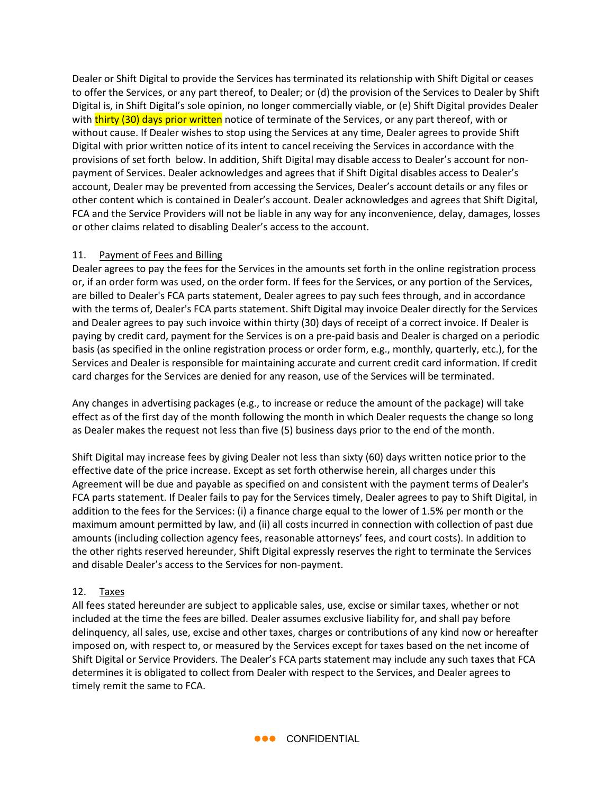Dealer or Shift Digital to provide the Services has terminated its relationship with Shift Digital or ceases to offer the Services, or any part thereof, to Dealer; or (d) the provision of the Services to Dealer by Shift Digital is, in Shift Digital's sole opinion, no longer commercially viable, or (e) Shift Digital provides Dealer with thirty (30) days prior written notice of terminate of the Services, or any part thereof, with or without cause. If Dealer wishes to stop using the Services at any time, Dealer agrees to provide Shift Digital with prior written notice of its intent to cancel receiving the Services in accordance with the provisions of set forth below. In addition, Shift Digital may disable access to Dealer's account for nonpayment of Services. Dealer acknowledges and agrees that if Shift Digital disables access to Dealer's account, Dealer may be prevented from accessing the Services, Dealer's account details or any files or other content which is contained in Dealer's account. Dealer acknowledges and agrees that Shift Digital, FCA and the Service Providers will not be liable in any way for any inconvenience, delay, damages, losses or other claims related to disabling Dealer's access to the account.

### 11. Payment of Fees and Billing

Dealer agrees to pay the fees for the Services in the amounts set forth in the online registration process or, if an order form was used, on the order form. If fees for the Services, or any portion of the Services, are billed to Dealer's FCA parts statement, Dealer agrees to pay such fees through, and in accordance with the terms of, Dealer's FCA parts statement. Shift Digital may invoice Dealer directly for the Services and Dealer agrees to pay such invoice within thirty (30) days of receipt of a correct invoice. If Dealer is paying by credit card, payment for the Services is on a pre-paid basis and Dealer is charged on a periodic basis (as specified in the online registration process or order form, e.g., monthly, quarterly, etc.), for the Services and Dealer is responsible for maintaining accurate and current credit card information. If credit card charges for the Services are denied for any reason, use of the Services will be terminated.

Any changes in advertising packages (e.g., to increase or reduce the amount of the package) will take effect as of the first day of the month following the month in which Dealer requests the change so long as Dealer makes the request not less than five (5) business days prior to the end of the month.

Shift Digital may increase fees by giving Dealer not less than sixty (60) days written notice prior to the effective date of the price increase. Except as set forth otherwise herein, all charges under this Agreement will be due and payable as specified on and consistent with the payment terms of Dealer's FCA parts statement. If Dealer fails to pay for the Services timely, Dealer agrees to pay to Shift Digital, in addition to the fees for the Services: (i) a finance charge equal to the lower of 1.5% per month or the maximum amount permitted by law, and (ii) all costs incurred in connection with collection of past due amounts (including collection agency fees, reasonable attorneys' fees, and court costs). In addition to the other rights reserved hereunder, Shift Digital expressly reserves the right to terminate the Services and disable Dealer's access to the Services for non-payment.

## 12. Taxes

All fees stated hereunder are subject to applicable sales, use, excise or similar taxes, whether or not included at the time the fees are billed. Dealer assumes exclusive liability for, and shall pay before delinquency, all sales, use, excise and other taxes, charges or contributions of any kind now or hereafter imposed on, with respect to, or measured by the Services except for taxes based on the net income of Shift Digital or Service Providers. The Dealer's FCA parts statement may include any such taxes that FCA determines it is obligated to collect from Dealer with respect to the Services, and Dealer agrees to timely remit the same to FCA.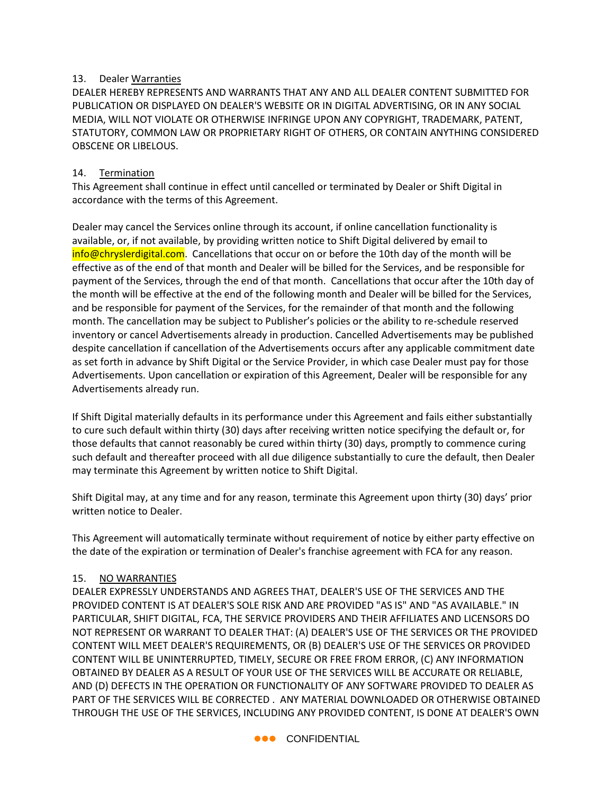### 13. Dealer Warranties

DEALER HEREBY REPRESENTS AND WARRANTS THAT ANY AND ALL DEALER CONTENT SUBMITTED FOR PUBLICATION OR DISPLAYED ON DEALER'S WEBSITE OR IN DIGITAL ADVERTISING, OR IN ANY SOCIAL MEDIA, WILL NOT VIOLATE OR OTHERWISE INFRINGE UPON ANY COPYRIGHT, TRADEMARK, PATENT, STATUTORY, COMMON LAW OR PROPRIETARY RIGHT OF OTHERS, OR CONTAIN ANYTHING CONSIDERED OBSCENE OR LIBELOUS.

## 14. Termination

This Agreement shall continue in effect until cancelled or terminated by Dealer or Shift Digital in accordance with the terms of this Agreement.

Dealer may cancel the Services online through its account, if online cancellation functionality is available, or, if not available, by providing written notice to Shift Digital delivered by email to info@chryslerdigital.com. Cancellations that occur on or before the 10th day of the month will be effective as of the end of that month and Dealer will be billed for the Services, and be responsible for payment of the Services, through the end of that month. Cancellations that occur after the 10th day of the month will be effective at the end of the following month and Dealer will be billed for the Services, and be responsible for payment of the Services, for the remainder of that month and the following month. The cancellation may be subject to Publisher's policies or the ability to re-schedule reserved inventory or cancel Advertisements already in production. Cancelled Advertisements may be published despite cancellation if cancellation of the Advertisements occurs after any applicable commitment date as set forth in advance by Shift Digital or the Service Provider, in which case Dealer must pay for those Advertisements. Upon cancellation or expiration of this Agreement, Dealer will be responsible for any Advertisements already run.

If Shift Digital materially defaults in its performance under this Agreement and fails either substantially to cure such default within thirty (30) days after receiving written notice specifying the default or, for those defaults that cannot reasonably be cured within thirty (30) days, promptly to commence curing such default and thereafter proceed with all due diligence substantially to cure the default, then Dealer may terminate this Agreement by written notice to Shift Digital.

Shift Digital may, at any time and for any reason, terminate this Agreement upon thirty (30) days' prior written notice to Dealer.

This Agreement will automatically terminate without requirement of notice by either party effective on the date of the expiration or termination of Dealer's franchise agreement with FCA for any reason.

## 15. NO WARRANTIES

DEALER EXPRESSLY UNDERSTANDS AND AGREES THAT, DEALER'S USE OF THE SERVICES AND THE PROVIDED CONTENT IS AT DEALER'S SOLE RISK AND ARE PROVIDED "AS IS" AND "AS AVAILABLE." IN PARTICULAR, SHIFT DIGITAL, FCA, THE SERVICE PROVIDERS AND THEIR AFFILIATES AND LICENSORS DO NOT REPRESENT OR WARRANT TO DEALER THAT: (A) DEALER'S USE OF THE SERVICES OR THE PROVIDED CONTENT WILL MEET DEALER'S REQUIREMENTS, OR (B) DEALER'S USE OF THE SERVICES OR PROVIDED CONTENT WILL BE UNINTERRUPTED, TIMELY, SECURE OR FREE FROM ERROR, (C) ANY INFORMATION OBTAINED BY DEALER AS A RESULT OF YOUR USE OF THE SERVICES WILL BE ACCURATE OR RELIABLE, AND (D) DEFECTS IN THE OPERATION OR FUNCTIONALITY OF ANY SOFTWARE PROVIDED TO DEALER AS PART OF THE SERVICES WILL BE CORRECTED . ANY MATERIAL DOWNLOADED OR OTHERWISE OBTAINED THROUGH THE USE OF THE SERVICES, INCLUDING ANY PROVIDED CONTENT, IS DONE AT DEALER'S OWN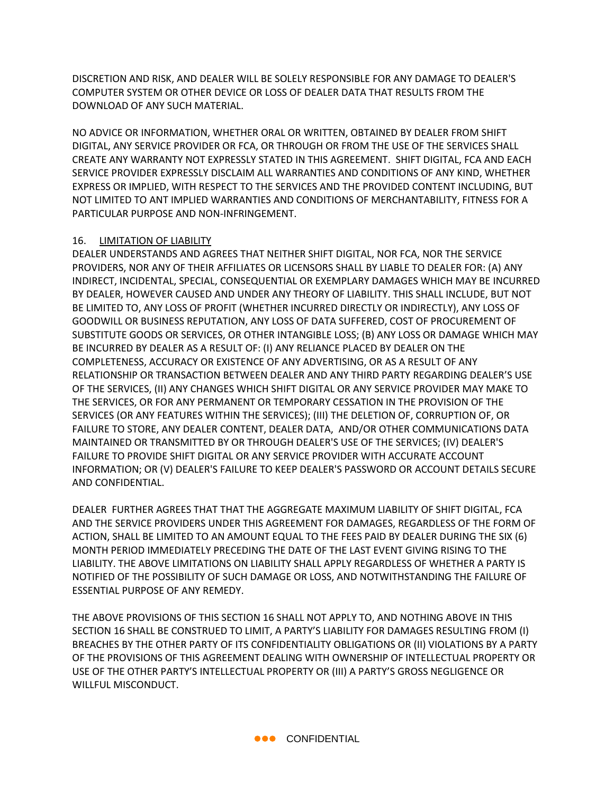DISCRETION AND RISK, AND DEALER WILL BE SOLELY RESPONSIBLE FOR ANY DAMAGE TO DEALER'S COMPUTER SYSTEM OR OTHER DEVICE OR LOSS OF DEALER DATA THAT RESULTS FROM THE DOWNLOAD OF ANY SUCH MATERIAL.

NO ADVICE OR INFORMATION, WHETHER ORAL OR WRITTEN, OBTAINED BY DEALER FROM SHIFT DIGITAL, ANY SERVICE PROVIDER OR FCA, OR THROUGH OR FROM THE USE OF THE SERVICES SHALL CREATE ANY WARRANTY NOT EXPRESSLY STATED IN THIS AGREEMENT. SHIFT DIGITAL, FCA AND EACH SERVICE PROVIDER EXPRESSLY DISCLAIM ALL WARRANTIES AND CONDITIONS OF ANY KIND, WHETHER EXPRESS OR IMPLIED, WITH RESPECT TO THE SERVICES AND THE PROVIDED CONTENT INCLUDING, BUT NOT LIMITED TO ANT IMPLIED WARRANTIES AND CONDITIONS OF MERCHANTABILITY, FITNESS FOR A PARTICULAR PURPOSE AND NON-INFRINGEMENT.

### 16. LIMITATION OF LIABILITY

DEALER UNDERSTANDS AND AGREES THAT NEITHER SHIFT DIGITAL, NOR FCA, NOR THE SERVICE PROVIDERS, NOR ANY OF THEIR AFFILIATES OR LICENSORS SHALL BY LIABLE TO DEALER FOR: (A) ANY INDIRECT, INCIDENTAL, SPECIAL, CONSEQUENTIAL OR EXEMPLARY DAMAGES WHICH MAY BE INCURRED BY DEALER, HOWEVER CAUSED AND UNDER ANY THEORY OF LIABILITY. THIS SHALL INCLUDE, BUT NOT BE LIMITED TO, ANY LOSS OF PROFIT (WHETHER INCURRED DIRECTLY OR INDIRECTLY), ANY LOSS OF GOODWILL OR BUSINESS REPUTATION, ANY LOSS OF DATA SUFFERED, COST OF PROCUREMENT OF SUBSTITUTE GOODS OR SERVICES, OR OTHER INTANGIBLE LOSS; (B) ANY LOSS OR DAMAGE WHICH MAY BE INCURRED BY DEALER AS A RESULT OF: (I) ANY RELIANCE PLACED BY DEALER ON THE COMPLETENESS, ACCURACY OR EXISTENCE OF ANY ADVERTISING, OR AS A RESULT OF ANY RELATIONSHIP OR TRANSACTION BETWEEN DEALER AND ANY THIRD PARTY REGARDING DEALER'S USE OF THE SERVICES, (II) ANY CHANGES WHICH SHIFT DIGITAL OR ANY SERVICE PROVIDER MAY MAKE TO THE SERVICES, OR FOR ANY PERMANENT OR TEMPORARY CESSATION IN THE PROVISION OF THE SERVICES (OR ANY FEATURES WITHIN THE SERVICES); (III) THE DELETION OF, CORRUPTION OF, OR FAILURE TO STORE, ANY DEALER CONTENT, DEALER DATA, AND/OR OTHER COMMUNICATIONS DATA MAINTAINED OR TRANSMITTED BY OR THROUGH DEALER'S USE OF THE SERVICES; (IV) DEALER'S FAILURE TO PROVIDE SHIFT DIGITAL OR ANY SERVICE PROVIDER WITH ACCURATE ACCOUNT INFORMATION; OR (V) DEALER'S FAILURE TO KEEP DEALER'S PASSWORD OR ACCOUNT DETAILS SECURE AND CONFIDENTIAL.

DEALER FURTHER AGREES THAT THAT THE AGGREGATE MAXIMUM LIABILITY OF SHIFT DIGITAL, FCA AND THE SERVICE PROVIDERS UNDER THIS AGREEMENT FOR DAMAGES, REGARDLESS OF THE FORM OF ACTION, SHALL BE LIMITED TO AN AMOUNT EQUAL TO THE FEES PAID BY DEALER DURING THE SIX (6) MONTH PERIOD IMMEDIATELY PRECEDING THE DATE OF THE LAST EVENT GIVING RISING TO THE LIABILITY. THE ABOVE LIMITATIONS ON LIABILITY SHALL APPLY REGARDLESS OF WHETHER A PARTY IS NOTIFIED OF THE POSSIBILITY OF SUCH DAMAGE OR LOSS, AND NOTWITHSTANDING THE FAILURE OF ESSENTIAL PURPOSE OF ANY REMEDY.

THE ABOVE PROVISIONS OF THIS SECTION 16 SHALL NOT APPLY TO, AND NOTHING ABOVE IN THIS SECTION 16 SHALL BE CONSTRUED TO LIMIT, A PARTY'S LIABILITY FOR DAMAGES RESULTING FROM (I) BREACHES BY THE OTHER PARTY OF ITS CONFIDENTIALITY OBLIGATIONS OR (II) VIOLATIONS BY A PARTY OF THE PROVISIONS OF THIS AGREEMENT DEALING WITH OWNERSHIP OF INTELLECTUAL PROPERTY OR USE OF THE OTHER PARTY'S INTELLECTUAL PROPERTY OR (III) A PARTY'S GROSS NEGLIGENCE OR WILLFUL MISCONDUCT.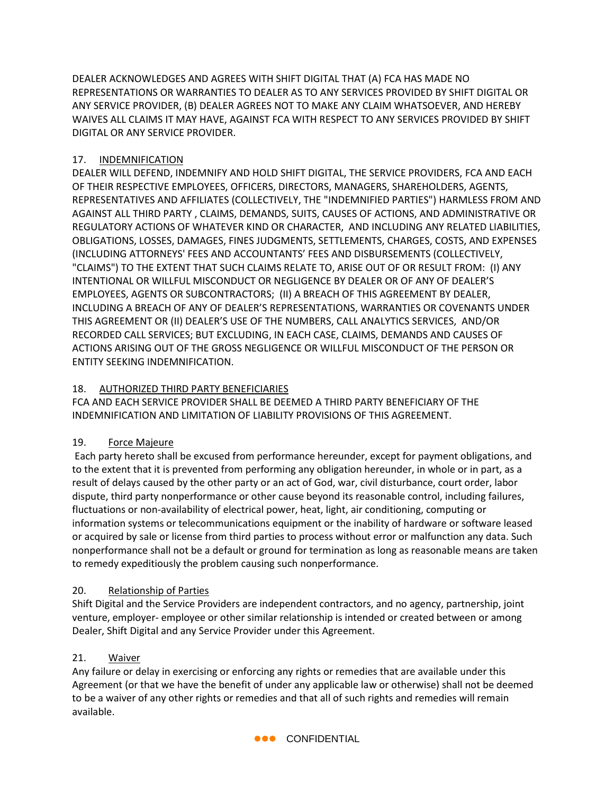DEALER ACKNOWLEDGES AND AGREES WITH SHIFT DIGITAL THAT (A) FCA HAS MADE NO REPRESENTATIONS OR WARRANTIES TO DEALER AS TO ANY SERVICES PROVIDED BY SHIFT DIGITAL OR ANY SERVICE PROVIDER, (B) DEALER AGREES NOT TO MAKE ANY CLAIM WHATSOEVER, AND HEREBY WAIVES ALL CLAIMS IT MAY HAVE, AGAINST FCA WITH RESPECT TO ANY SERVICES PROVIDED BY SHIFT DIGITAL OR ANY SERVICE PROVIDER.

## 17. INDEMNIFICATION

DEALER WILL DEFEND, INDEMNIFY AND HOLD SHIFT DIGITAL, THE SERVICE PROVIDERS, FCA AND EACH OF THEIR RESPECTIVE EMPLOYEES, OFFICERS, DIRECTORS, MANAGERS, SHAREHOLDERS, AGENTS, REPRESENTATIVES AND AFFILIATES (COLLECTIVELY, THE "INDEMNIFIED PARTIES") HARMLESS FROM AND AGAINST ALL THIRD PARTY , CLAIMS, DEMANDS, SUITS, CAUSES OF ACTIONS, AND ADMINISTRATIVE OR REGULATORY ACTIONS OF WHATEVER KIND OR CHARACTER, AND INCLUDING ANY RELATED LIABILITIES, OBLIGATIONS, LOSSES, DAMAGES, FINES JUDGMENTS, SETTLEMENTS, CHARGES, COSTS, AND EXPENSES (INCLUDING ATTORNEYS' FEES AND ACCOUNTANTS' FEES AND DISBURSEMENTS (COLLECTIVELY, "CLAIMS") TO THE EXTENT THAT SUCH CLAIMS RELATE TO, ARISE OUT OF OR RESULT FROM: (I) ANY INTENTIONAL OR WILLFUL MISCONDUCT OR NEGLIGENCE BY DEALER OR OF ANY OF DEALER'S EMPLOYEES, AGENTS OR SUBCONTRACTORS; (II) A BREACH OF THIS AGREEMENT BY DEALER, INCLUDING A BREACH OF ANY OF DEALER'S REPRESENTATIONS, WARRANTIES OR COVENANTS UNDER THIS AGREEMENT OR (II) DEALER'S USE OF THE NUMBERS, CALL ANALYTICS SERVICES, AND/OR RECORDED CALL SERVICES; BUT EXCLUDING, IN EACH CASE, CLAIMS, DEMANDS AND CAUSES OF ACTIONS ARISING OUT OF THE GROSS NEGLIGENCE OR WILLFUL MISCONDUCT OF THE PERSON OR ENTITY SEEKING INDEMNIFICATION.

## 18. AUTHORIZED THIRD PARTY BENEFICIARIES

FCA AND EACH SERVICE PROVIDER SHALL BE DEEMED A THIRD PARTY BENEFICIARY OF THE INDEMNIFICATION AND LIMITATION OF LIABILITY PROVISIONS OF THIS AGREEMENT.

## 19. Force Majeure

Each party hereto shall be excused from performance hereunder, except for payment obligations, and to the extent that it is prevented from performing any obligation hereunder, in whole or in part, as a result of delays caused by the other party or an act of God, war, civil disturbance, court order, labor dispute, third party nonperformance or other cause beyond its reasonable control, including failures, fluctuations or non-availability of electrical power, heat, light, air conditioning, computing or information systems or telecommunications equipment or the inability of hardware or software leased or acquired by sale or license from third parties to process without error or malfunction any data. Such nonperformance shall not be a default or ground for termination as long as reasonable means are taken to remedy expeditiously the problem causing such nonperformance.

## 20. Relationship of Parties

Shift Digital and the Service Providers are independent contractors, and no agency, partnership, joint venture, employer- employee or other similar relationship is intended or created between or among Dealer, Shift Digital and any Service Provider under this Agreement.

## 21. Waiver

Any failure or delay in exercising or enforcing any rights or remedies that are available under this Agreement (or that we have the benefit of under any applicable law or otherwise) shall not be deemed to be a waiver of any other rights or remedies and that all of such rights and remedies will remain available.

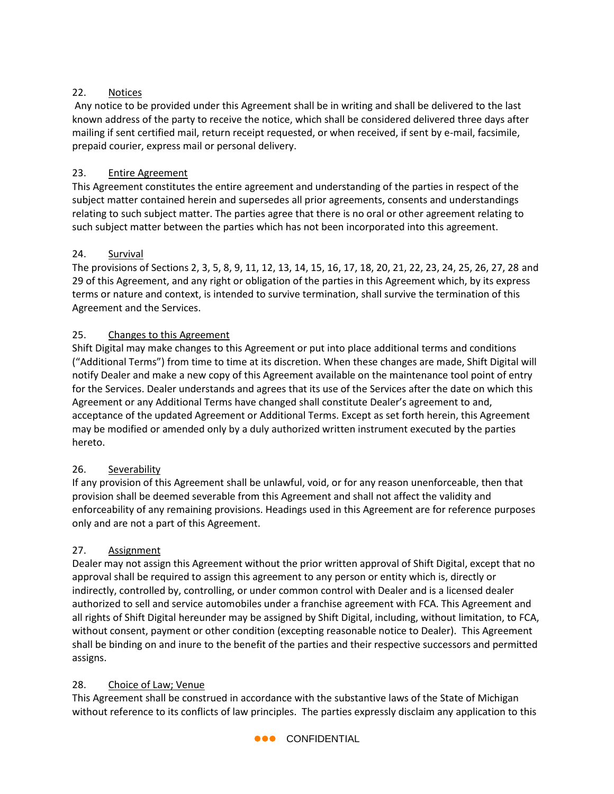## 22. Notices

Any notice to be provided under this Agreement shall be in writing and shall be delivered to the last known address of the party to receive the notice, which shall be considered delivered three days after mailing if sent certified mail, return receipt requested, or when received, if sent by e-mail, facsimile, prepaid courier, express mail or personal delivery.

## 23. Entire Agreement

This Agreement constitutes the entire agreement and understanding of the parties in respect of the subject matter contained herein and supersedes all prior agreements, consents and understandings relating to such subject matter. The parties agree that there is no oral or other agreement relating to such subject matter between the parties which has not been incorporated into this agreement.

## 24. Survival

The provisions of Sections 2, 3, 5, 8, 9, 11, 12, 13, 14, 15, 16, 17, 18, 20, 21, 22, 23, 24, 25, 26, 27, 28 and 29 of this Agreement, and any right or obligation of the parties in this Agreement which, by its express terms or nature and context, is intended to survive termination, shall survive the termination of this Agreement and the Services.

## 25. Changes to this Agreement

Shift Digital may make changes to this Agreement or put into place additional terms and conditions ("Additional Terms") from time to time at its discretion. When these changes are made, Shift Digital will notify Dealer and make a new copy of this Agreement available on the maintenance tool point of entry for the Services. Dealer understands and agrees that its use of the Services after the date on which this Agreement or any Additional Terms have changed shall constitute Dealer's agreement to and, acceptance of the updated Agreement or Additional Terms. Except as set forth herein, this Agreement may be modified or amended only by a duly authorized written instrument executed by the parties hereto.

## 26. Severability

If any provision of this Agreement shall be unlawful, void, or for any reason unenforceable, then that provision shall be deemed severable from this Agreement and shall not affect the validity and enforceability of any remaining provisions. Headings used in this Agreement are for reference purposes only and are not a part of this Agreement.

## 27. Assignment

Dealer may not assign this Agreement without the prior written approval of Shift Digital, except that no approval shall be required to assign this agreement to any person or entity which is, directly or indirectly, controlled by, controlling, or under common control with Dealer and is a licensed dealer authorized to sell and service automobiles under a franchise agreement with FCA. This Agreement and all rights of Shift Digital hereunder may be assigned by Shift Digital, including, without limitation, to FCA, without consent, payment or other condition (excepting reasonable notice to Dealer). This Agreement shall be binding on and inure to the benefit of the parties and their respective successors and permitted assigns.

## 28. Choice of Law; Venue

This Agreement shall be construed in accordance with the substantive laws of the State of Michigan without reference to its conflicts of law principles. The parties expressly disclaim any application to this

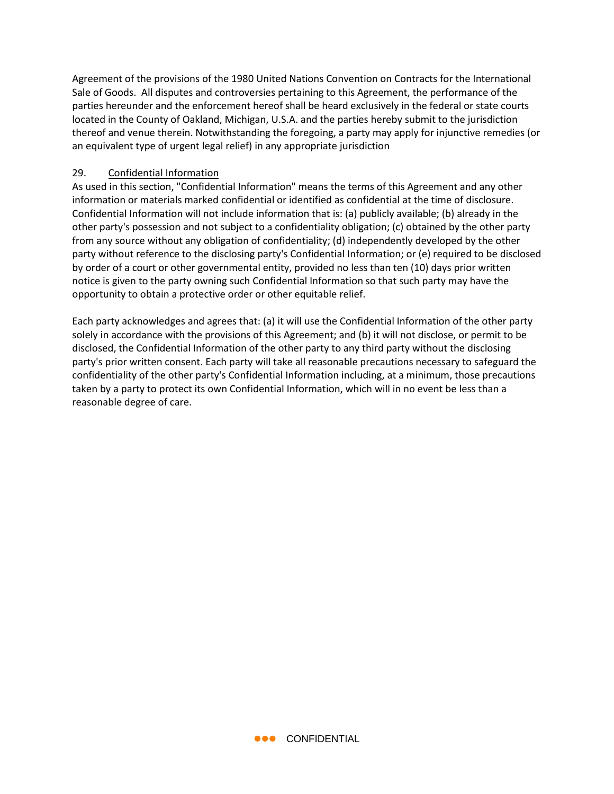Agreement of the provisions of the 1980 United Nations Convention on Contracts for the International Sale of Goods. All disputes and controversies pertaining to this Agreement, the performance of the parties hereunder and the enforcement hereof shall be heard exclusively in the federal or state courts located in the County of Oakland, Michigan, U.S.A. and the parties hereby submit to the jurisdiction thereof and venue therein. Notwithstanding the foregoing, a party may apply for injunctive remedies (or an equivalent type of urgent legal relief) in any appropriate jurisdiction

### 29. Confidential Information

As used in this section, "Confidential Information" means the terms of this Agreement and any other information or materials marked confidential or identified as confidential at the time of disclosure. Confidential Information will not include information that is: (a) publicly available; (b) already in the other party's possession and not subject to a confidentiality obligation; (c) obtained by the other party from any source without any obligation of confidentiality; (d) independently developed by the other party without reference to the disclosing party's Confidential Information; or (e) required to be disclosed by order of a court or other governmental entity, provided no less than ten (10) days prior written notice is given to the party owning such Confidential Information so that such party may have the opportunity to obtain a protective order or other equitable relief.

Each party acknowledges and agrees that: (a) it will use the Confidential Information of the other party solely in accordance with the provisions of this Agreement; and (b) it will not disclose, or permit to be disclosed, the Confidential Information of the other party to any third party without the disclosing party's prior written consent. Each party will take all reasonable precautions necessary to safeguard the confidentiality of the other party's Confidential Information including, at a minimum, those precautions taken by a party to protect its own Confidential Information, which will in no event be less than a reasonable degree of care.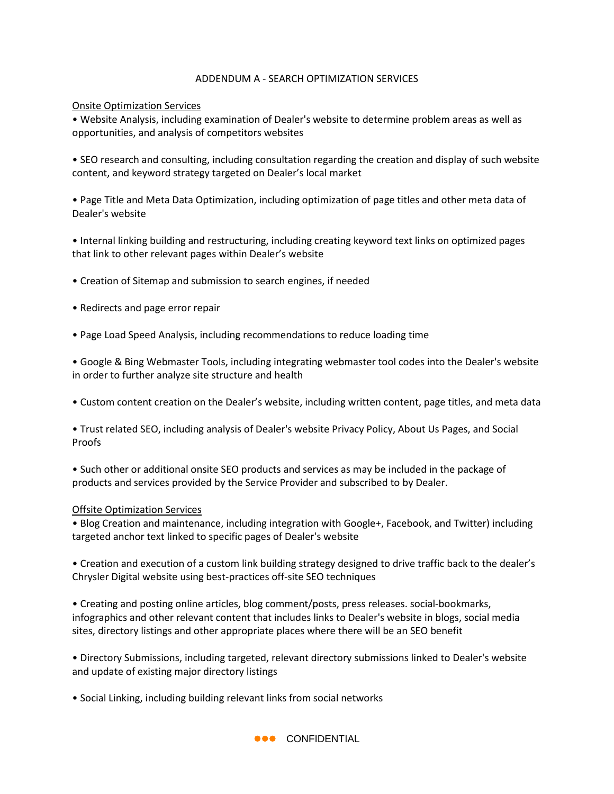### ADDENDUM A - SEARCH OPTIMIZATION SERVICES

### Onsite Optimization Services

• Website Analysis, including examination of Dealer's website to determine problem areas as well as opportunities, and analysis of competitors websites

• SEO research and consulting, including consultation regarding the creation and display of such website content, and keyword strategy targeted on Dealer's local market

• Page Title and Meta Data Optimization, including optimization of page titles and other meta data of Dealer's website

• Internal linking building and restructuring, including creating keyword text links on optimized pages that link to other relevant pages within Dealer's website

- Creation of Sitemap and submission to search engines, if needed
- Redirects and page error repair
- Page Load Speed Analysis, including recommendations to reduce loading time

• Google & Bing Webmaster Tools, including integrating webmaster tool codes into the Dealer's website in order to further analyze site structure and health

- Custom content creation on the Dealer's website, including written content, page titles, and meta data
- Trust related SEO, including analysis of Dealer's website Privacy Policy, About Us Pages, and Social Proofs

• Such other or additional onsite SEO products and services as may be included in the package of products and services provided by the Service Provider and subscribed to by Dealer.

#### Offsite Optimization Services

• Blog Creation and maintenance, including integration with Google+, Facebook, and Twitter) including targeted anchor text linked to specific pages of Dealer's website

• Creation and execution of a custom link building strategy designed to drive traffic back to the dealer's Chrysler Digital website using best-practices off-site SEO techniques

• Creating and posting online articles, blog comment/posts, press releases. social-bookmarks, infographics and other relevant content that includes links to Dealer's website in blogs, social media sites, directory listings and other appropriate places where there will be an SEO benefit

• Directory Submissions, including targeted, relevant directory submissions linked to Dealer's website and update of existing major directory listings

• Social Linking, including building relevant links from social networks

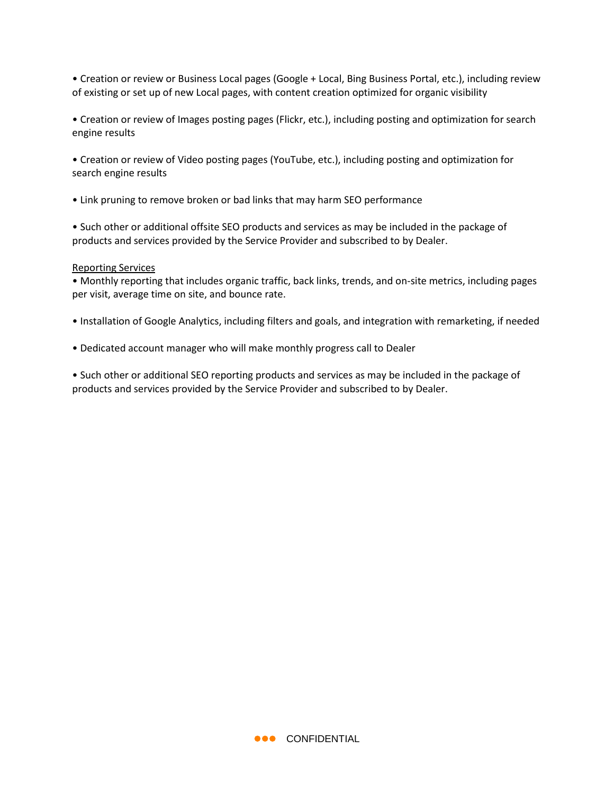• Creation or review or Business Local pages (Google + Local, Bing Business Portal, etc.), including review of existing or set up of new Local pages, with content creation optimized for organic visibility

• Creation or review of Images posting pages (Flickr, etc.), including posting and optimization for search engine results

• Creation or review of Video posting pages (YouTube, etc.), including posting and optimization for search engine results

• Link pruning to remove broken or bad links that may harm SEO performance

• Such other or additional offsite SEO products and services as may be included in the package of products and services provided by the Service Provider and subscribed to by Dealer.

#### Reporting Services

• Monthly reporting that includes organic traffic, back links, trends, and on-site metrics, including pages per visit, average time on site, and bounce rate.

- Installation of Google Analytics, including filters and goals, and integration with remarketing, if needed
- Dedicated account manager who will make monthly progress call to Dealer

• Such other or additional SEO reporting products and services as may be included in the package of products and services provided by the Service Provider and subscribed to by Dealer.